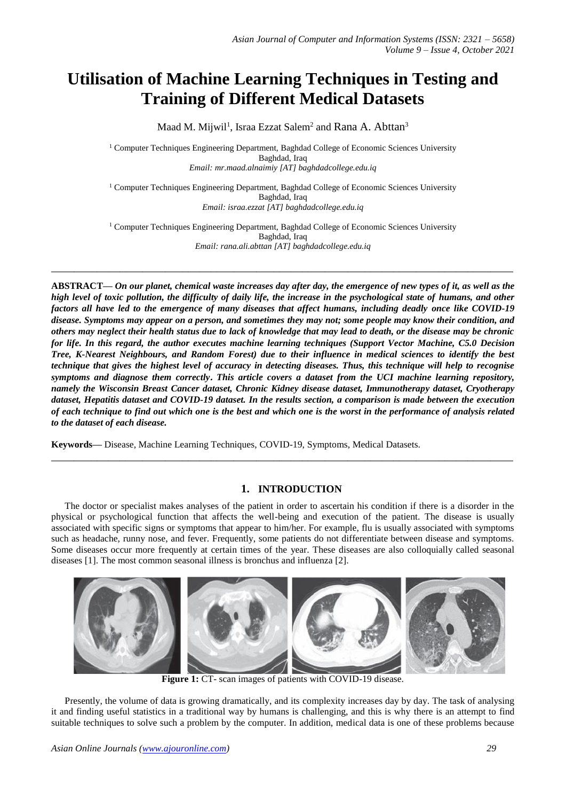# **Utilisation of Machine Learning Techniques in Testing and Training of Different Medical Datasets**

Maad M. Mijwil<sup>1</sup>, Israa Ezzat Salem<sup>2</sup> and Rana A. Abttan<sup>3</sup>

<sup>1</sup> Computer Techniques Engineering Department, Baghdad College of Economic Sciences University Baghdad, Iraq *Email: mr.maad.alnaimiy [AT] baghdadcollege.edu.iq*

<sup>1</sup> Computer Techniques Engineering Department, Baghdad College of Economic Sciences University Baghdad, Iraq *Email: israa.ezzat [AT] baghdadcollege.edu.iq*

<sup>1</sup> Computer Techniques Engineering Department, Baghdad College of Economic Sciences University Baghdad, Iraq *Email: rana.ali.abttan [AT] baghdadcollege.edu.iq*

**\_\_\_\_\_\_\_\_\_\_\_\_\_\_\_\_\_\_\_\_\_\_\_\_\_\_\_\_\_\_\_\_\_\_\_\_\_\_\_\_\_\_\_\_\_\_\_\_\_\_\_\_\_\_\_\_\_\_\_\_\_\_\_\_\_\_\_\_\_\_\_\_\_\_\_\_\_\_\_\_\_**

**ABSTRACT—** *On our planet, chemical waste increases day after day, the emergence of new types of it, as well as the high level of toxic pollution, the difficulty of daily life, the increase in the psychological state of humans, and other factors all have led to the emergence of many diseases that affect humans, including deadly once like COVID-19 disease. Symptoms may appear on a person, and sometimes they may not; some people may know their condition, and others may neglect their health status due to lack of knowledge that may lead to death, or the disease may be chronic for life. In this regard, the author executes machine learning techniques (Support Vector Machine, C5.0 Decision Tree, K-Nearest Neighbours, and Random Forest) due to their influence in medical sciences to identify the best technique that gives the highest level of accuracy in detecting diseases. Thus, this technique will help to recognise symptoms and diagnose them correctly***.** *This article covers a dataset from the UCI machine learning repository, namely the Wisconsin Breast Cancer dataset, Chronic Kidney disease dataset, Immunotherapy dataset, Cryotherapy dataset, Hepatitis dataset and COVID-19 dataset. In the results section, a comparison is made between the execution of each technique to find out which one is the best and which one is the worst in the performance of analysis related to the dataset of each disease.*

**Keywords—** Disease, Machine Learning Techniques, COVID-19, Symptoms, Medical Datasets.

# **1. INTRODUCTION**

**\_\_\_\_\_\_\_\_\_\_\_\_\_\_\_\_\_\_\_\_\_\_\_\_\_\_\_\_\_\_\_\_\_\_\_\_\_\_\_\_\_\_\_\_\_\_\_\_\_\_\_\_\_\_\_\_\_\_\_\_\_\_\_\_\_\_\_\_\_\_\_\_\_\_\_\_\_\_\_\_\_**

The doctor or specialist makes analyses of the patient in order to ascertain his condition if there is a disorder in the physical or psychological function that affects the well-being and execution of the patient. The disease is usually associated with specific signs or symptoms that appear to him/her. For example, flu is usually associated with symptoms such as headache, runny nose, and fever. Frequently, some patients do not differentiate between disease and symptoms. Some diseases occur more frequently at certain times of the year. These diseases are also colloquially called seasonal diseases [1]. The most common seasonal illness is bronchus and influenza [2].



**Figure 1:** CT- scan images of patients with COVID-19 disease.

Presently, the volume of data is growing dramatically, and its complexity increases day by day. The task of analysing it and finding useful statistics in a traditional way by humans is challenging, and this is why there is an attempt to find suitable techniques to solve such a problem by the computer. In addition, medical data is one of these problems because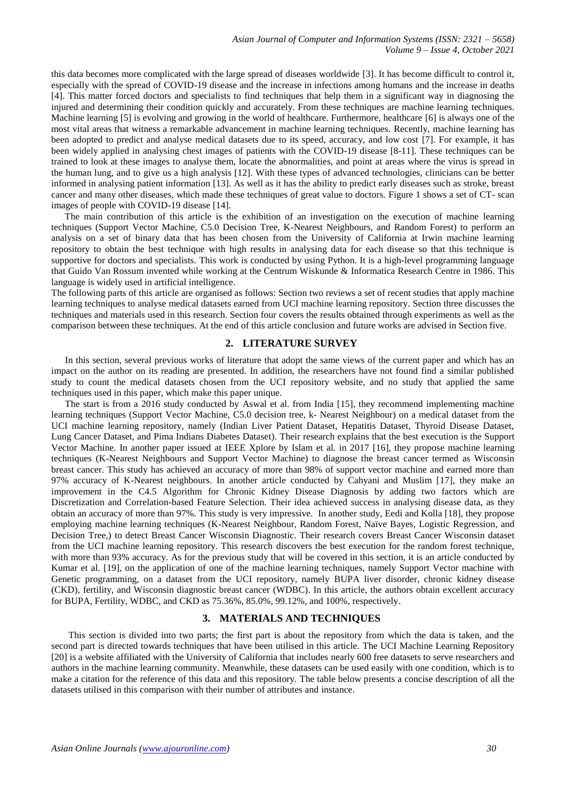this data becomes more complicated with the large spread of diseases worldwide [3]. It has become difficult to control it, especially with the spread of COVID-19 disease and the increase in infections among humans and the increase in deaths [4]. This matter forced doctors and specialists to find techniques that help them in a significant way in diagnosing the injured and determining their condition quickly and accurately. From these techniques are machine learning techniques. Machine learning [5] is evolving and growing in the world of healthcare. Furthermore, healthcare [6] is always one of the most vital areas that witness a remarkable advancement in machine learning techniques. Recently, machine learning has been adopted to predict and analyse medical datasets due to its speed, accuracy, and low cost [7]. For example, it has been widely applied in analysing chest images of patients with the COVID-19 disease [8-11]. These techniques can be trained to look at these images to analyse them, locate the abnormalities, and point at areas where the virus is spread in the human lung, and to give us a high analysis [12]. With these types of advanced technologies, clinicians can be better informed in analysing patient information [13]. As well as it has the ability to predict early diseases such as stroke, breast cancer and many other diseases, which made these techniques of great value to doctors. Figure 1 shows a set of CT- scan images of people with COVID-19 disease [14].

The main contribution of this article is the exhibition of an investigation on the execution of machine learning techniques (Support Vector Machine, C5.0 Decision Tree, K-Nearest Neighbours, and Random Forest) to perform an analysis on a set of binary data that has been chosen from the University of California at Irwin machine learning repository to obtain the best technique with high results in analysing data for each disease so that this technique is supportive for doctors and specialists. This work is conducted by using Python. It is a high-level programming language that Guido Van Rossum invented while working at the Centrum Wiskunde & Informatica Research Centre in 1986. This language is widely used in artificial intelligence.

The following parts of this article are organised as follows: Section two reviews a set of recent studies that apply machine learning techniques to analyse medical datasets earned from UCI machine learning repository. Section three discusses the techniques and materials used in this research. Section four covers the results obtained through experiments as well as the comparison between these techniques. At the end of this article conclusion and future works are advised in Section five.

## **2. LITERATURE SURVEY**

In this section, several previous works of literature that adopt the same views of the current paper and which has an impact on the author on its reading are presented. In addition, the researchers have not found find a similar published study to count the medical datasets chosen from the UCI repository website, and no study that applied the same techniques used in this paper, which make this paper unique.

The start is from a 2016 study conducted by Aswal et al. from India [15], they recommend implementing machine learning techniques (Support Vector Machine, C5.0 decision tree, k- Nearest Neighbour) on a medical dataset from the UCI machine learning repository, namely (Indian Liver Patient Dataset, Hepatitis Dataset, Thyroid Disease Dataset, Lung Cancer Dataset, and Pima Indians Diabetes Dataset). Their research explains that the best execution is the Support Vector Machine. In another paper issued at IEEE Xplore by Islam et al. in 2017 [16], they propose machine learning techniques (K-Nearest Neighbours and Support Vector Machine) to diagnose the breast cancer termed as Wisconsin breast cancer. This study has achieved an accuracy of more than 98% of support vector machine and earned more than 97% accuracy of K-Nearest neighbours. In another article conducted by Cahyani and Muslim [17], they make an improvement in the C4.5 Algorithm for Chronic Kidney Disease Diagnosis by adding two factors which are Discretization and Correlation-based Feature Selection. Their idea achieved success in analysing disease data, as they obtain an accuracy of more than 97%. This study is very impressive. In another study, Eedi and Kolla [18], they propose employing machine learning techniques (K-Nearest Neighbour, Random Forest, Naïve Bayes, Logistic Regression, and Decision Tree,) to detect Breast Cancer Wisconsin Diagnostic. Their research covers Breast Cancer Wisconsin dataset from the UCI machine learning repository. This research discovers the best execution for the random forest technique, with more than 93% accuracy. As for the previous study that will be covered in this section, it is an article conducted by Kumar et al. [19], on the application of one of the machine learning techniques, namely Support Vector machine with Genetic programming, on a dataset from the UCI repository, namely BUPA liver disorder, chronic kidney disease (CKD), fertility, and Wisconsin diagnostic breast cancer (WDBC). In this article, the authors obtain excellent accuracy for BUPA, Fertility, WDBC, and CKD as 75.36%, 85.0%, 99.12%, and 100%, respectively.

## **3. MATERIALS AND TECHNIQUES**

This section is divided into two parts; the first part is about the repository from which the data is taken, and the second part is directed towards techniques that have been utilised in this article. The UCI Machine Learning Repository [20] is a website affiliated with the University of California that includes nearly 600 free datasets to serve researchers and authors in the machine learning community. Meanwhile, these datasets can be used easily with one condition, which is to make a citation for the reference of this data and this repository. The table below presents a concise description of all the datasets utilised in this comparison with their number of attributes and instance.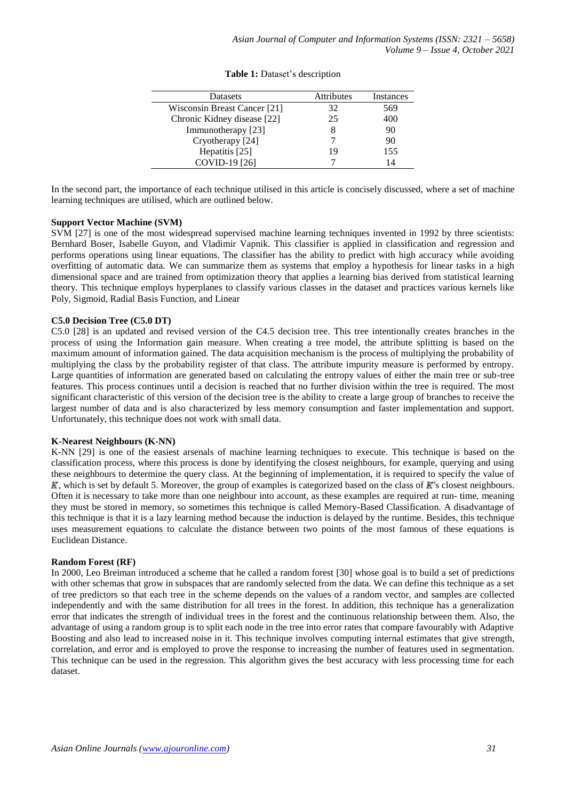| Datasets                     | <b>Attributes</b> | Instances |
|------------------------------|-------------------|-----------|
| Wisconsin Breast Cancer [21] | 32                | 569       |
| Chronic Kidney disease [22]  | 25                | 400       |
| Immunotherapy [23]           |                   | 90        |
| Cryotherapy [24]             |                   | 90        |
| Hepatitis [25]               | 19                | 155       |
| COVID-19 [26]                |                   | 14        |

## **Table 1:** Dataset's description

In the second part, the importance of each technique utilised in this article is concisely discussed, where a set of machine learning techniques are utilised, which are outlined below.

## **Support Vector Machine (SVM)**

SVM [27] is one of the most widespread supervised machine learning techniques invented in 1992 by three scientists: Bernhard Boser, Isabelle Guyon, and Vladimir Vapnik. This classifier is applied in classification and regression and performs operations using linear equations. The classifier has the ability to predict with high accuracy while avoiding overfitting of automatic data. We can summarize them as systems that employ a hypothesis for linear tasks in a high dimensional space and are trained from optimization theory that applies a learning bias derived from statistical learning theory. This technique employs hyperplanes to classify various classes in the dataset and practices various kernels like Poly, Sigmoid, Radial Basis Function, and Linear

## **C5.0 Decision Tree (C5.0 DT)**

C5.0 [28] is an updated and revised version of the C4.5 decision tree. This tree intentionally creates branches in the process of using the Information gain measure. When creating a tree model, the attribute splitting is based on the maximum amount of information gained. The data acquisition mechanism is the process of multiplying the probability of multiplying the class by the probability register of that class. The attribute impurity measure is performed by entropy. Large quantities of information are generated based on calculating the entropy values of either the main tree or sub-tree features. This process continues until a decision is reached that no further division within the tree is required. The most significant characteristic of this version of the decision tree is the ability to create a large group of branches to receive the largest number of data and is also characterized by less memory consumption and faster implementation and support. Unfortunately, this technique does not work with small data.

#### **K-Nearest Neighbours (K-NN)**

K-NN [29] is one of the easiest arsenals of machine learning techniques to execute. This technique is based on the classification process, where this process is done by identifying the closest neighbours, for example, querying and using these neighbours to determine the query class. At the beginning of implementation, it is required to specify the value of *, which is set by default 5. Moreover, the group of examples is categorized based on the class of*  $*K*'s$  *closest neighbours.* Often it is necessary to take more than one neighbour into account, as these examples are required at run- time, meaning they must be stored in memory, so sometimes this technique is called Memory-Based Classification. A disadvantage of this technique is that it is a lazy learning method because the induction is delayed by the runtime. Besides, this technique uses measurement equations to calculate the distance between two points of the most famous of these equations is Euclidean Distance.

#### **Random Forest (RF)**

In 2000, Leo Breiman introduced a scheme that he called a random forest [30] whose goal is to build a set of predictions with other schemas that grow in subspaces that are randomly selected from the data. We can define this technique as a set of tree predictors so that each tree in the scheme depends on the values of a random vector, and samples are collected independently and with the same distribution for all trees in the forest. In addition, this technique has a generalization error that indicates the strength of individual trees in the forest and the continuous relationship between them. Also, the advantage of using a random group is to split each node in the tree into error rates that compare favourably with Adaptive Boosting and also lead to increased noise in it. This technique involves computing internal estimates that give strength, correlation, and error and is employed to prove the response to increasing the number of features used in segmentation. This technique can be used in the regression. This algorithm gives the best accuracy with less processing time for each dataset.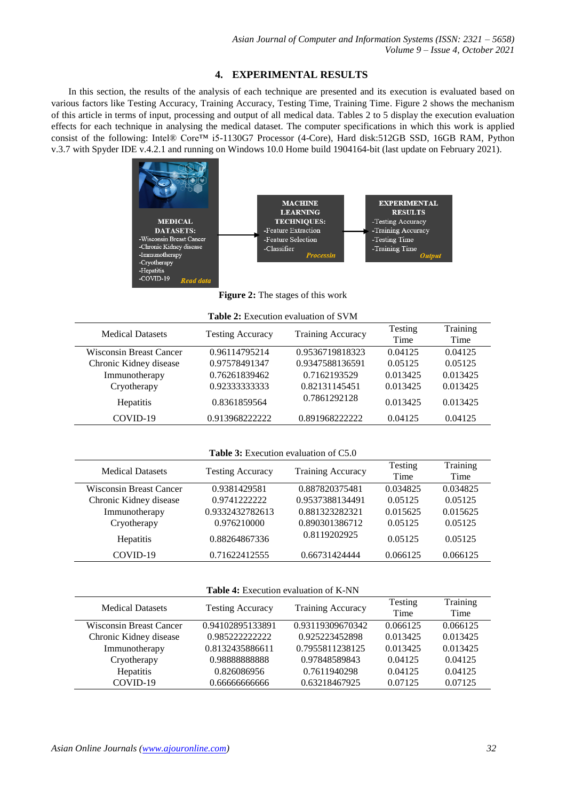# **4. EXPERIMENTAL RESULTS**

In this section, the results of the analysis of each technique are presented and its execution is evaluated based on various factors like Testing Accuracy, Training Accuracy, Testing Time, Training Time. Figure 2 shows the mechanism of this article in terms of input, processing and output of all medical data. Tables 2 to 5 display the execution evaluation effects for each technique in analysing the medical dataset. The computer specifications in which this work is applied consist of the following: Intel® Core™ i5-1130G7 Processor (4-Core), Hard disk:512GB SSD, 16GB RAM, Python v.3.7 with Spyder IDE v.4.2.1 and running on Windows 10.0 Home build 1904164-bit (last update on February 2021).



**Figure 2:** The stages of this work

|  |  | <b>Table 2:</b> Execution evaluation of SVM |  |  |
|--|--|---------------------------------------------|--|--|
|--|--|---------------------------------------------|--|--|

| <b>Medical Datasets</b> |                         | <b>Training Accuracy</b> | Testing  | Training |
|-------------------------|-------------------------|--------------------------|----------|----------|
|                         | <b>Testing Accuracy</b> |                          | Time     | Time     |
| Wisconsin Breast Cancer | 0.96114795214           | 0.9536719818323          | 0.04125  | 0.04125  |
| Chronic Kidney disease  | 0.97578491347           | 0.9347588136591          | 0.05125  | 0.05125  |
| Immunotherapy           | 0.76261839462           | 0.7162193529             | 0.013425 | 0.013425 |
| Cryotherapy             | 0.92333333333           | 0.82131145451            | 0.013425 | 0.013425 |
| <b>Hepatitis</b>        | 0.8361859564            | 0.7861292128             | 0.013425 | 0.013425 |
| COVID-19                | 0.9139682222222         | 0.8919682222222          | 0.04125  | 0.04125  |

**Table 3:** Execution evaluation of C5.0

| <b>Medical Datasets</b>        |                         | <b>Training Accuracy</b> | Testing  | Training |
|--------------------------------|-------------------------|--------------------------|----------|----------|
|                                | <b>Testing Accuracy</b> |                          | Time     | Time     |
| <b>Wisconsin Breast Cancer</b> | 0.9381429581            | 0.887820375481           | 0.034825 | 0.034825 |
| Chronic Kidney disease         | 0.9741222222            | 0.9537388134491          | 0.05125  | 0.05125  |
| Immunotherapy                  | 0.9332432782613         | 0.881323282321           | 0.015625 | 0.015625 |
| Cryotherapy                    | 0.976210000             | 0.890301386712           | 0.05125  | 0.05125  |
| <b>Hepatitis</b>               | 0.88264867336           | 0.8119202925             | 0.05125  | 0.05125  |
| COVID-19                       | 0.71622412555           | 0.66731424444            | 0.066125 | 0.066125 |

|  |  | <b>Table 4:</b> Execution evaluation of K-NN |  |
|--|--|----------------------------------------------|--|
|--|--|----------------------------------------------|--|

| <b>Medical Datasets</b> |                         | <b>Training Accuracy</b> | Testing  | Training |
|-------------------------|-------------------------|--------------------------|----------|----------|
|                         | <b>Testing Accuracy</b> |                          | Time     | Time     |
| Wisconsin Breast Cancer | 0.94102895133891        | 0.93119309670342         | 0.066125 | 0.066125 |
| Chronic Kidney disease  | 0.9852222222222         | 0.925223452898           | 0.013425 | 0.013425 |
| Immunotherapy           | 0.8132435886611         | 0.7955811238125          | 0.013425 | 0.013425 |
| Cryotherapy             | 0.9888888888            | 0.97848589843            | 0.04125  | 0.04125  |
| <b>Hepatitis</b>        | 0.826086956             | 0.7611940298             | 0.04125  | 0.04125  |
| COVID-19                | 0.6666666666            | 0.63218467925            | 0.07125  | 0.07125  |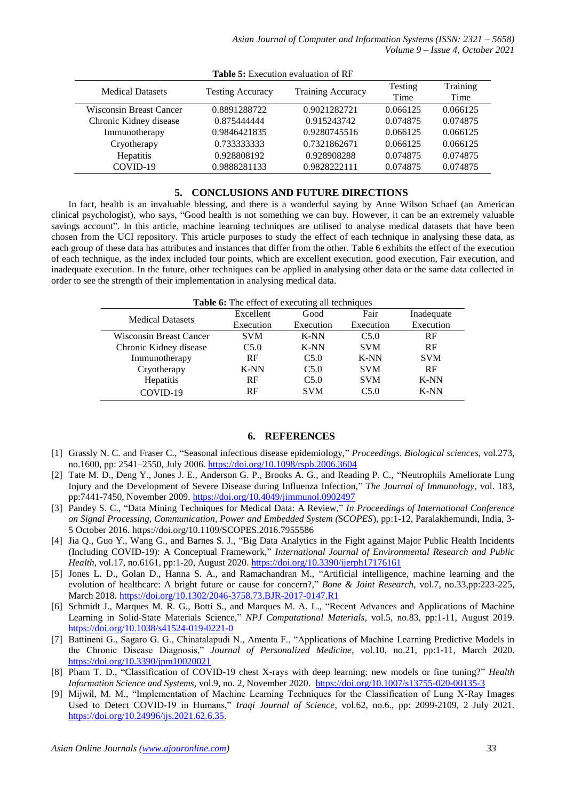| <b>Medical Datasets</b> | <b>Testing Accuracy</b> | <b>Training Accuracy</b> | Testing<br>Time | Training<br>Time |
|-------------------------|-------------------------|--------------------------|-----------------|------------------|
| Wisconsin Breast Cancer | 0.8891288722            | 0.9021282721             | 0.066125        | 0.066125         |
| Chronic Kidney disease  | 0.875444444             | 0.915243742              | 0.074875        | 0.074875         |
| Immunotherapy           | 0.9846421835            | 0.9280745516             | 0.066125        | 0.066125         |
| Cryotherapy             | 0.733333333             | 0.7321862671             | 0.066125        | 0.066125         |
| <b>Hepatitis</b>        | 0.928808192             | 0.928908288              | 0.074875        | 0.074875         |
| COVID-19                | 0.9888281133            | 0.9828222111             | 0.074875        | 0.074875         |

| <b>Table 5:</b> Execution evaluation of RF |  |
|--------------------------------------------|--|
|--------------------------------------------|--|

# **5. CONCLUSIONS AND FUTURE DIRECTIONS**

In fact, health is an invaluable blessing, and there is a wonderful saying by Anne Wilson Schaef (an American clinical psychologist), who says, "Good health is not something we can buy. However, it can be an extremely valuable savings account". In this article, machine learning techniques are utilised to analyse medical datasets that have been chosen from the UCI repository. This article purposes to study the effect of each technique in analysing these data, as each group of these data has attributes and instances that differ from the other. Table 6 exhibits the effect of the execution of each technique, as the index included four points, which are excellent execution, good execution, Fair execution, and inadequate execution. In the future, other techniques can be applied in analysing other data or the same data collected in order to see the strength of their implementation in analysing medical data.

| Table 6: The effect of executing all techniques |            |            |            |            |  |
|-------------------------------------------------|------------|------------|------------|------------|--|
| <b>Medical Datasets</b>                         | Excellent  | Good       | Fair       | Inadequate |  |
|                                                 | Execution  | Execution  | Execution  | Execution  |  |
| Wisconsin Breast Cancer                         | <b>SVM</b> | $K-NN$     | C5.0       | RF         |  |
| Chronic Kidney disease                          | C5.0       | $K-NN$     | <b>SVM</b> | RF         |  |
| Immunotherapy                                   | <b>RF</b>  | C5.0       | $K-NN$     | <b>SVM</b> |  |
| Cryotherapy                                     | $K-NN$     | C5.0       | <b>SVM</b> | RF         |  |
| Hepatitis                                       | RF         | C5.0       | <b>SVM</b> | $K-NN$     |  |
| COVID-19                                        | RF         | <b>SVM</b> | C5.0       | $K-NN$     |  |

#### **6. REFERENCES**

- [1] Grassly N. C. and Fraser C., "Seasonal infectious disease epidemiology," *Proceedings. Biological sciences*, vol.273, no.1600, pp: 2541–2550, July 2006.<https://doi.org/10.1098/rspb.2006.3604>
- [2] Tate M. D., Deng Y., Jones J. E., Anderson G. P., Brooks A. G., and Reading P. C., "Neutrophils Ameliorate Lung Injury and the Development of Severe Disease during Influenza Infection," *The Journal of Immunology*, vol. 183, pp:7441-7450, November 2009.<https://doi.org/10.4049/jimmunol.0902497>
- [3] Pandey S. C., "Data Mining Techniques for Medical Data: A Review," *In Proceedings of International Conference on Signal Processing, Communication, Power and Embedded System (SCOPES*), pp:1-12, Paralakhemundi, India, 3- 5 October 2016. https://doi.org/10.1109/SCOPES.2016.7955586
- [4] Jia Q., Guo Y., Wang G., and Barnes S. J., "Big Data Analytics in the Fight against Major Public Health Incidents (Including COVID-19): A Conceptual Framework," *International Journal of Environmental Research and Public Health*, vol.17, no.6161, pp:1-20, August 2020[. https://doi.org/10.3390/ijerph17176161](https://doi.org/10.3390/ijerph17176161)
- [5] Jones L. D., Golan D., Hanna S. A., and Ramachandran M., "Artificial intelligence, machine learning and the evolution of healthcare: A bright future or cause for concern?," *Bone & Joint Research*, vol.7, no.33,pp:223-225, March 2018[. https://doi.org/10.1302/2046-3758.73.BJR-2017-0147.R1](https://doi.org/10.1302/2046-3758.73.BJR-2017-0147.R1)
- [6] Schmidt J., Marques M. R. G., Botti S., and Marques M. A. L., "Recent Advances and Applications of Machine Learning in Solid-State Materials Science," *NPJ Computational Materials*, vol.5, no.83, pp:1-11, August 2019. <https://doi.org/10.1038/s41524-019-0221-0>
- [7] Battineni G., Sagaro G. G., Chinatalapudi N., Amenta F., "Applications of Machine Learning Predictive Models in the Chronic Disease Diagnosis," *Journal of Personalized Medicine*, vol.10, no.21, pp:1-11, March 2020. <https://doi.org/10.3390/jpm10020021>
- [8] Pham T. D., "Classification of COVID-19 chest X-rays with deep learning: new models or fine tuning?" *Health Information Science and Systems,* vol.9, no. 2, November 2020. <https://doi.org/10.1007/s13755-020-00135-3>
- [9] Mijwil, M. M., "Implementation of Machine Learning Techniques for the Classification of Lung X-Ray Images Used to Detect COVID-19 in Humans," *Iraqi Journal of Science*, vol.62, no.6., pp: 2099-2109, 2 July 2021. [https://doi.org/10.24996/ijs.2021.62.6.35.](https://doi.org/10.24996/ijs.2021.62.6.35)